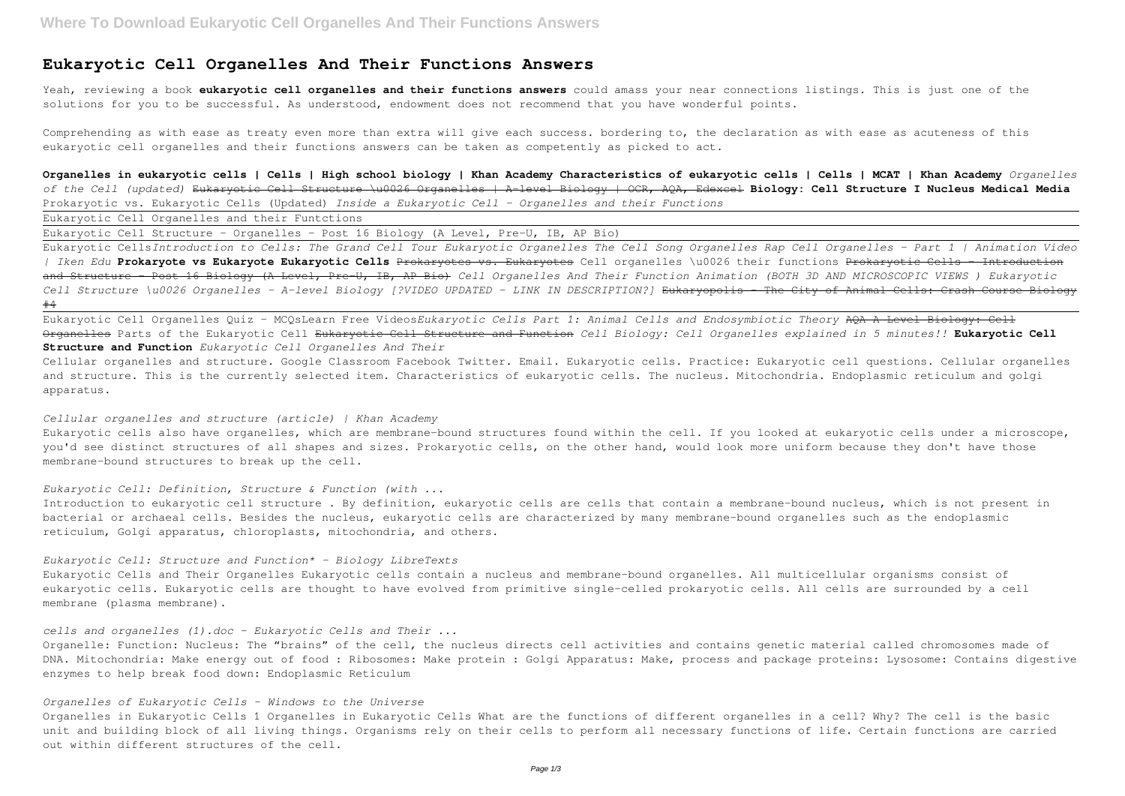## **Eukaryotic Cell Organelles And Their Functions Answers**

Yeah, reviewing a book **eukaryotic cell organelles and their functions answers** could amass your near connections listings. This is just one of the solutions for you to be successful. As understood, endowment does not recommend that you have wonderful points.

Comprehending as with ease as treaty even more than extra will give each success. bordering to, the declaration as with ease as acuteness of this eukaryotic cell organelles and their functions answers can be taken as competently as picked to act.

**Organelles in eukaryotic cells | Cells | High school biology | Khan Academy Characteristics of eukaryotic cells | Cells | MCAT | Khan Academy** *Organelles of the Cell (updated)* Eukaryotic Cell Structure \u0026 Organelles | A-level Biology | OCR, AQA, Edexcel **Biology: Cell Structure I Nucleus Medical Media** Prokaryotic vs. Eukaryotic Cells (Updated) *Inside a Eukaryotic Cell - Organelles and their Functions*

Eukaryotic Cell Organelles and their Funtctions

Eukaryotic Cell Structure - Organelles - Post 16 Biology (A Level, Pre-U, IB, AP Bio)

Eukaryotic cells also have organelles, which are membrane-bound structures found within the cell. If you looked at eukaryotic cells under a microscope, you'd see distinct structures of all shapes and sizes. Prokaryotic cells, on the other hand, would look more uniform because they don't have those membrane-bound structures to break up the cell.

Eukaryotic Cells*Introduction to Cells: The Grand Cell Tour Eukaryotic Organelles The Cell Song Organelles Rap Cell Organelles - Part 1 | Animation Video | Iken Edu* **Prokaryote vs Eukaryote Eukaryotic Cells** Prokaryotes vs. Eukaryotes Cell organelles \u0026 their functions Prokaryotic Cells - Introduction and Structure - Post 16 Biology (A Level, Pre-U, IB, AP Bio) *Cell Organelles And Their Function Animation (BOTH 3D AND MICROSCOPIC VIEWS ) Eukaryotic* Cell Structure \u0026 Organelles - A-level Biology [?VIDEO UPDATED - LINK IN DESCRIPTION?] Eukaryopolis - The City of Animal Cells: Crash Course Biology #4

Eukaryotic Cell Organelles Quiz - MCQsLearn Free Videos*Eukaryotic Cells Part 1: Animal Cells and Endosymbiotic Theory* AQA A Level Biology: Cell Organelles Parts of the Eukaryotic Cell Eukaryotic Cell Structure and Function *Cell Biology: Cell Organelles explained in 5 minutes!!* **Eukaryotic Cell Structure and Function** *Eukaryotic Cell Organelles And Their*

Cellular organelles and structure. Google Classroom Facebook Twitter. Email. Eukaryotic cells. Practice: Eukaryotic cell questions. Cellular organelles and structure. This is the currently selected item. Characteristics of eukaryotic cells. The nucleus. Mitochondria. Endoplasmic reticulum and golgi apparatus.

#### *Cellular organelles and structure (article) | Khan Academy*

#### *Eukaryotic Cell: Definition, Structure & Function (with ...*

Introduction to eukaryotic cell structure . By definition, eukaryotic cells are cells that contain a membrane-bound nucleus, which is not present in bacterial or archaeal cells. Besides the nucleus, eukaryotic cells are characterized by many membrane-bound organelles such as the endoplasmic reticulum, Golgi apparatus, chloroplasts, mitochondria, and others.

*Eukaryotic Cell: Structure and Function\* - Biology LibreTexts* Eukaryotic Cells and Their Organelles Eukaryotic cells contain a nucleus and membrane-bound organelles. All multicellular organisms consist of eukaryotic cells. Eukaryotic cells are thought to have evolved from primitive single-celled prokaryotic cells. All cells are surrounded by a cell membrane (plasma membrane).

*cells and organelles (1).doc - Eukaryotic Cells and Their ...* Organelle: Function: Nucleus: The "brains" of the cell, the nucleus directs cell activities and contains genetic material called chromosomes made of DNA. Mitochondria: Make energy out of food : Ribosomes: Make protein : Golgi Apparatus: Make, process and package proteins: Lysosome: Contains digestive enzymes to help break food down: Endoplasmic Reticulum

#### *Organelles of Eukaryotic Cells - Windows to the Universe*

Organelles in Eukaryotic Cells 1 Organelles in Eukaryotic Cells What are the functions of different organelles in a cell? Why? The cell is the basic unit and building block of all living things. Organisms rely on their cells to perform all necessary functions of life. Certain functions are carried out within different structures of the cell.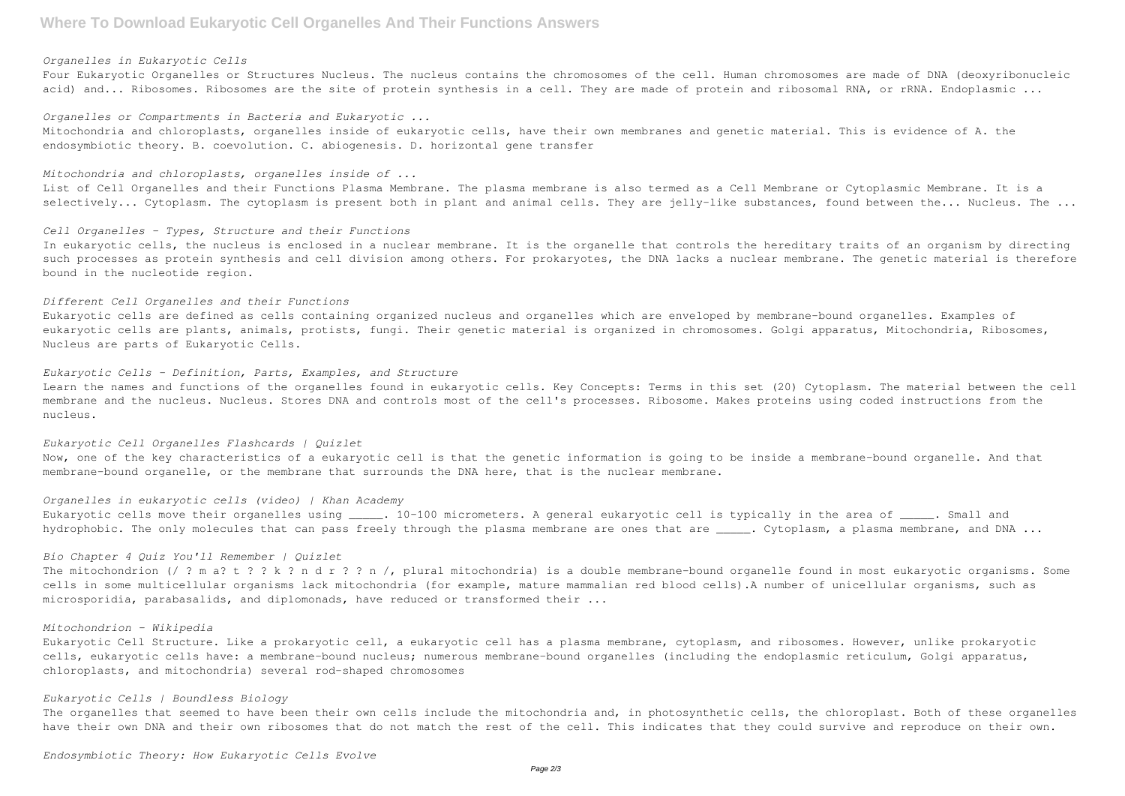#### *Organelles in Eukaryotic Cells*

Four Eukaryotic Organelles or Structures Nucleus. The nucleus contains the chromosomes of the cell. Human chromosomes are made of DNA (deoxyribonucleic acid) and... Ribosomes. Ribosomes are the site of protein synthesis in a cell. They are made of protein and ribosomal RNA, or rRNA. Endoplasmic ...

Mitochondria and chloroplasts, organelles inside of eukaryotic cells, have their own membranes and genetic material. This is evidence of A. the endosymbiotic theory. B. coevolution. C. abiogenesis. D. horizontal gene transfer

*Organelles or Compartments in Bacteria and Eukaryotic ...*

#### *Mitochondria and chloroplasts, organelles inside of ...*

List of Cell Organelles and their Functions Plasma Membrane. The plasma membrane is also termed as a Cell Membrane or Cytoplasmic Membrane. It is a selectively... Cytoplasm. The cytoplasm is present both in plant and animal cells. They are jelly-like substances, found between the... Nucleus. The ...

#### *Cell Organelles - Types, Structure and their Functions*

In eukaryotic cells, the nucleus is enclosed in a nuclear membrane. It is the organelle that controls the hereditary traits of an organism by directing such processes as protein synthesis and cell division among others. For prokaryotes, the DNA lacks a nuclear membrane. The genetic material is therefore bound in the nucleotide region.

#### *Different Cell Organelles and their Functions*

The mitochondrion (/ ? m a? t ? ? k ? n d r ? ? n /, plural mitochondria) is a double membrane-bound organelle found in most eukaryotic organisms. Some cells in some multicellular organisms lack mitochondria (for example, mature mammalian red blood cells).A number of unicellular organisms, such as microsporidia, parabasalids, and diplomonads, have reduced or transformed their ...

Eukaryotic cells are defined as cells containing organized nucleus and organelles which are enveloped by membrane-bound organelles. Examples of eukaryotic cells are plants, animals, protists, fungi. Their genetic material is organized in chromosomes. Golgi apparatus, Mitochondria, Ribosomes, Nucleus are parts of Eukaryotic Cells.

#### *Eukaryotic Cells - Definition, Parts, Examples, and Structure*

Learn the names and functions of the organelles found in eukaryotic cells. Key Concepts: Terms in this set (20) Cytoplasm. The material between the cell membrane and the nucleus. Nucleus. Stores DNA and controls most of the cell's processes. Ribosome. Makes proteins using coded instructions from the nucleus.

#### *Eukaryotic Cell Organelles Flashcards | Quizlet*

Now, one of the key characteristics of a eukaryotic cell is that the genetic information is going to be inside a membrane-bound organelle. And that membrane-bound organelle, or the membrane that surrounds the DNA here, that is the nuclear membrane.

#### *Organelles in eukaryotic cells (video) | Khan Academy*

Eukaryotic cells move their organelles using \_\_\_\_. 10-100 micrometers. A general eukaryotic cell is typically in the area of \_\_\_\_\_. Small and hydrophobic. The only molecules that can pass freely through the plasma membrane are ones that are \_\_\_\_\_. Cytoplasm, a plasma membrane, and DNA ...

#### *Bio Chapter 4 Quiz You'll Remember | Quizlet*

#### *Mitochondrion - Wikipedia*

Eukaryotic Cell Structure. Like a prokaryotic cell, a eukaryotic cell has a plasma membrane, cytoplasm, and ribosomes. However, unlike prokaryotic cells, eukaryotic cells have: a membrane-bound nucleus; numerous membrane-bound organelles (including the endoplasmic reticulum, Golgi apparatus, chloroplasts, and mitochondria) several rod-shaped chromosomes

### *Eukaryotic Cells | Boundless Biology*

The organelles that seemed to have been their own cells include the mitochondria and, in photosynthetic cells, the chloroplast. Both of these organelles have their own DNA and their own ribosomes that do not match the rest of the cell. This indicates that they could survive and reproduce on their own.